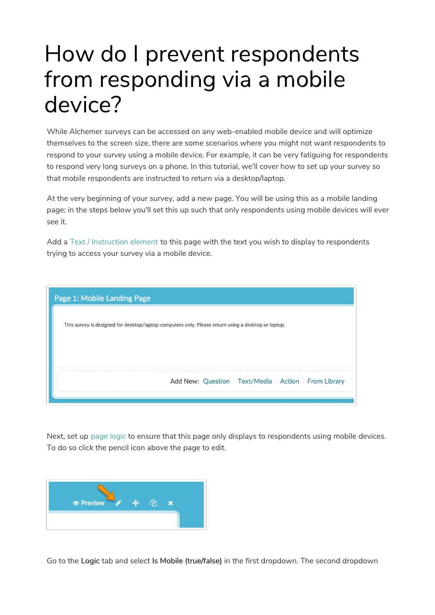## How do I prevent respondents from responding via a mobile device?

While Alchemer surveys can be accessed on any web-enabled mobile device and will optimize themselves to the screen size, there are some scenarios where you might not want respondents to respond to your survey using a mobile device. For example, it can be very fatiguing for respondents to respond very long surveys on a phone. In this tutorial, we'll cover how to set up your survey so that mobile respondents are instructed to return via a desktop/laptop.

At the very beginning of your survey, add a new page. You will be using this as a mobile landing page; in the steps below you'll set this up such that only respondents using mobile devices will ever see it.

Add a Text / Instruction element to this page with the text you wish to display to respondents trying to access your survey via a mobile device.

| Page 1: Mobile Landing Page                                                                         |
|-----------------------------------------------------------------------------------------------------|
| This survey is designed for desktop/laptop computers only. Please return using a desktop or laptop. |
|                                                                                                     |
|                                                                                                     |
|                                                                                                     |
| Add New: Question   Text/Media   Action   From Library                                              |

Next, set up page logic to ensure that this page only displays to respondents using mobile devices. To do so click the pencil icon above the page to edit.



Go to the Logic tab and select Is Mobile (true/false) in the first dropdown. The second dropdown